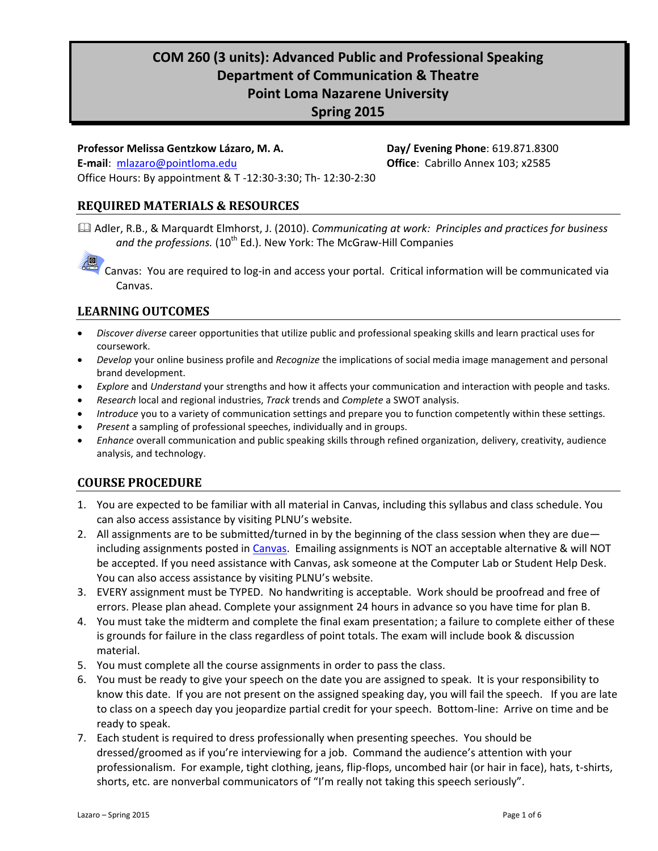# **COM 260 (3 units): Advanced Public and Professional Speaking Department of Communication & Theatre Point Loma Nazarene University Spring 2015**

### **Professor Melissa Gentzkow Lázaro, M. A. Day/ Evening Phone**: 619.871.8300 **E-mail**: [mlazaro@pointloma.edu](mailto:mlazaro@pointloma.edu) **Office**: Cabrillo Annex 103; x2585 Office Hours: By appointment & T -12:30-3:30; Th- 12:30-2:30

# **REQUIRED MATERIALS & RESOURCES**

 Adler, R.B., & Marquardt Elmhorst, J. (2010). *Communicating at work: Principles and practices for business*  and the professions. (10<sup>th</sup> Ed.). New York: The McGraw-Hill Companies

酒 Canvas: You are required to log-in and access your portal. Critical information will be communicated via Canvas.

### **LEARNING OUTCOMES**

- *Discover diverse* career opportunities that utilize public and professional speaking skills and learn practical uses for coursework.
- *Develop* your online business profile and *Recognize* the implications of social media image management and personal brand development.
- *Explore* and *Understand* your strengths and how it affects your communication and interaction with people and tasks.
- *Research* local and regional industries, *Track* trends and *Complete* a SWOT analysis.
- *Introduce* you to a variety of communication settings and prepare you to function competently within these settings.
- *Present* a sampling of professional speeches, individually and in groups.
- *Enhance* overall communication and public speaking skills through refined organization, delivery, creativity, audience analysis, and technology.

# **COURSE PROCEDURE**

- 1. You are expected to be familiar with all material in Canvas, including this syllabus and class schedule. You can also access assistance by visiting PLNU's website.
- 2. All assignments are to be submitted/turned in by the beginning of the class session when they are due— including assignments posted in [Canvas.](https://canvas.pointloma.edu/login) Emailing assignments is NOT an acceptable alternative & will NOT be accepted. If you need assistance with Canvas, ask someone at the Computer Lab or Student Help Desk. You can also access assistance by visiting PLNU's website.
- 3. EVERY assignment must be TYPED. No handwriting is acceptable. Work should be proofread and free of errors. Please plan ahead. Complete your assignment 24 hours in advance so you have time for plan B.
- 4. You must take the midterm and complete the final exam presentation; a failure to complete either of these is grounds for failure in the class regardless of point totals. The exam will include book & discussion material.
- 5. You must complete all the course assignments in order to pass the class.
- 6. You must be ready to give your speech on the date you are assigned to speak. It is your responsibility to know this date. If you are not present on the assigned speaking day, you will fail the speech. If you are late to class on a speech day you jeopardize partial credit for your speech. Bottom-line: Arrive on time and be ready to speak.
- 7. Each student is required to dress professionally when presenting speeches. You should be dressed/groomed as if you're interviewing for a job. Command the audience's attention with your professionalism. For example, tight clothing, jeans, flip-flops, uncombed hair (or hair in face), hats, t-shirts, shorts, etc. are nonverbal communicators of "I'm really not taking this speech seriously".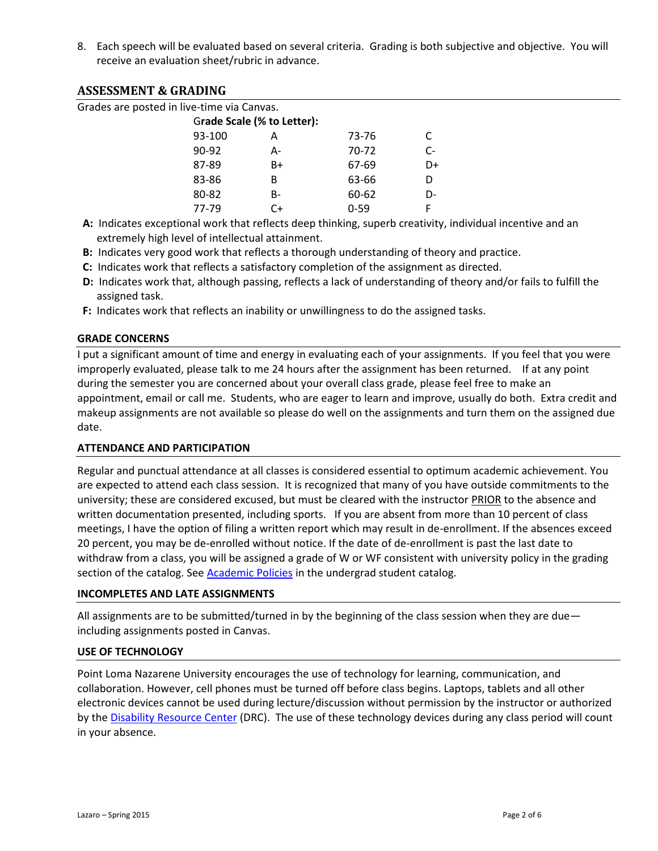8. Each speech will be evaluated based on several criteria. Grading is both subjective and objective. You will receive an evaluation sheet/rubric in advance.

### **ASSESSMENT & GRADING**

Grades are posted in live-time via Canvas.

| Grade Scale (% to Letter): |    |           |      |
|----------------------------|----|-----------|------|
| 93-100                     | А  | 73-76     | C    |
| 90-92                      | А- | $70 - 72$ | $C-$ |
| 87-89                      | B+ | 67-69     | D+   |
| 83-86                      | в  | 63-66     | D    |
| 80-82                      | B- | 60-62     | D-   |
| 77-79                      | C+ | $0 - 59$  | F    |

 **A:** Indicates exceptional work that reflects deep thinking, superb creativity, individual incentive and an extremely high level of intellectual attainment.

- **B:** Indicates very good work that reflects a thorough understanding of theory and practice.
- **C:** Indicates work that reflects a satisfactory completion of the assignment as directed.
- **D:** Indicates work that, although passing, reflects a lack of understanding of theory and/or fails to fulfill the assigned task.
- **F:** Indicates work that reflects an inability or unwillingness to do the assigned tasks.

#### **GRADE CONCERNS**

I put a significant amount of time and energy in evaluating each of your assignments. If you feel that you were improperly evaluated, please talk to me 24 hours after the assignment has been returned. If at any point during the semester you are concerned about your overall class grade, please feel free to make an appointment, email or call me. Students, who are eager to learn and improve, usually do both. Extra credit and makeup assignments are not available so please do well on the assignments and turn them on the assigned due date.

#### **ATTENDANCE AND PARTICIPATION**

Regular and punctual attendance at all classes is considered essential to optimum academic achievement. You are expected to attend each class session. It is recognized that many of you have outside commitments to the university; these are considered excused, but must be cleared with the instructor **PRIOR** to the absence and written documentation presented, including sports. If you are absent from more than 10 percent of class meetings, I have the option of filing a written report which may result in de-enrollment. If the absences exceed 20 percent, you may be de-enrolled without notice. If the date of de-enrollment is past the last date to withdraw from a class, you will be assigned a grade of W or WF consistent with university policy in the grading section of the catalog. See **Academic Policies** in the undergrad student catalog.

#### **INCOMPLETES AND LATE ASSIGNMENTS**

All assignments are to be submitted/turned in by the beginning of the class session when they are due including assignments posted in Canvas.

#### **USE OF TECHNOLOGY**

Point Loma Nazarene University encourages the use of technology for learning, communication, and collaboration. However, cell phones must be turned off before class begins. Laptops, tablets and all other electronic devices cannot be used during lecture/discussion without permission by the instructor or authorized by the **Disability Resource Center** (DRC). The use of these technology devices during any class period will count in your absence.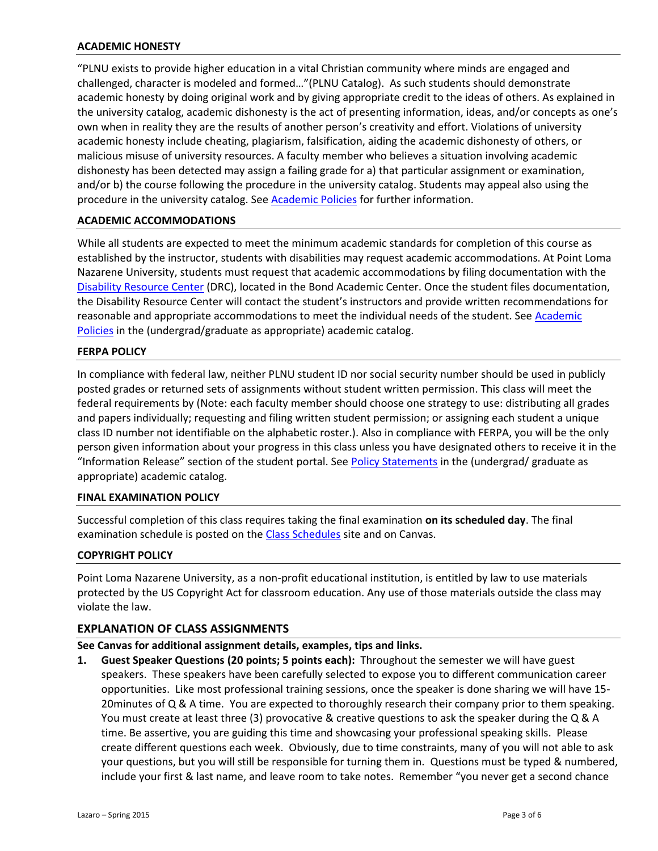#### **ACADEMIC HONESTY**

"PLNU exists to provide higher education in a vital Christian community where minds are engaged and challenged, character is modeled and formed…"(PLNU Catalog). As such students should demonstrate academic honesty by doing original work and by giving appropriate credit to the ideas of others. As explained in the university catalog, academic dishonesty is the act of presenting information, ideas, and/or concepts as one's own when in reality they are the results of another person's creativity and effort. Violations of university academic honesty include cheating, plagiarism, falsification, aiding the academic dishonesty of others, or malicious misuse of university resources. A faculty member who believes a situation involving academic dishonesty has been detected may assign a failing grade for a) that particular assignment or examination, and/or b) the course following the procedure in the university catalog. Students may appeal also using the procedure in the university catalog. See **Academic Policies** for further information.

#### **ACADEMIC ACCOMMODATIONS**

While all students are expected to meet the minimum academic standards for completion of this course as established by the instructor, students with disabilities may request academic accommodations. At Point Loma Nazarene University, students must request that academic accommodations by filing documentation with the [Disability Resource Center](http://www.pointloma.edu/experience/offices/administrative-offices/academic-advising-office/disability-resource-center) (DRC), located in the Bond Academic Center. Once the student files documentation, the Disability Resource Center will contact the student's instructors and provide written recommendations for reasonable and appropriate accommodations to meet the individual needs of the student. See Academic [Policies](http://www.pointloma.edu/experience/academics/catalogs/undergraduate-catalog/point-loma-education/academic-policies) in the (undergrad/graduate as appropriate) academic catalog.

#### **FERPA POLICY**

In compliance with federal law, neither PLNU student ID nor social security number should be used in publicly posted grades or returned sets of assignments without student written permission. This class will meet the federal requirements by (Note: each faculty member should choose one strategy to use: distributing all grades and papers individually; requesting and filing written student permission; or assigning each student a unique class ID number not identifiable on the alphabetic roster.). Also in compliance with FERPA, you will be the only person given information about your progress in this class unless you have designated others to receive it in the "Information Release" section of the student portal. See [Policy Statements](http://www.pointloma.edu/experience/academics/catalogs/undergraduate-catalog/policy-statements) in the (undergrad/ graduate as appropriate) academic catalog.

#### **FINAL EXAMINATION POLICY**

Successful completion of this class requires taking the final examination **on its scheduled day**. The final examination schedule is posted on the [Class Schedules](http://www.pointloma.edu/experience/academics/class-schedules) site and on Canvas.

#### **COPYRIGHT POLICY**

Point Loma Nazarene University, as a non-profit educational institution, is entitled by law to use materials protected by the US Copyright Act for classroom education. Any use of those materials outside the class may violate the law.

#### **EXPLANATION OF CLASS ASSIGNMENTS**

#### **See Canvas for additional assignment details, examples, tips and links.**

**1. Guest Speaker Questions (20 points; 5 points each):** Throughout the semester we will have guest speakers. These speakers have been carefully selected to expose you to different communication career opportunities. Like most professional training sessions, once the speaker is done sharing we will have 15- 20minutes of Q & A time. You are expected to thoroughly research their company prior to them speaking. You must create at least three (3) provocative & creative questions to ask the speaker during the Q & A time. Be assertive, you are guiding this time and showcasing your professional speaking skills. Please create different questions each week. Obviously, due to time constraints, many of you will not able to ask your questions, but you will still be responsible for turning them in. Questions must be typed & numbered, include your first & last name, and leave room to take notes. Remember "you never get a second chance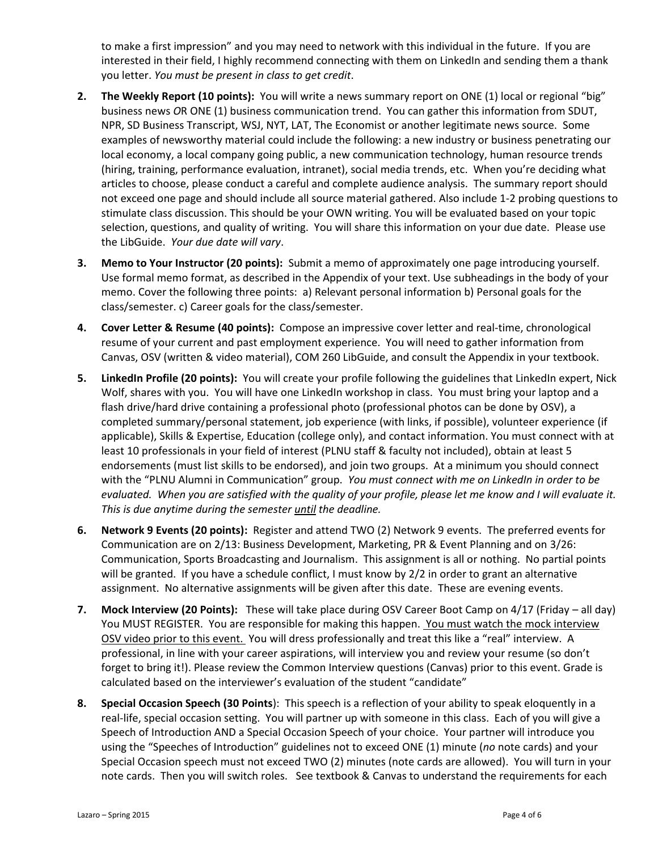to make a first impression" and you may need to network with this individual in the future. If you are interested in their field, I highly recommend connecting with them on LinkedIn and sending them a thank you letter. *You must be present in class to get credit*.

- **2. The Weekly Report (10 points):** You will write a news summary report on ONE (1) local or regional "big" business news *O*R ONE (1) business communication trend. You can gather this information from SDUT, NPR, SD Business Transcript, WSJ, NYT, LAT, The Economist or another legitimate news source. Some examples of newsworthy material could include the following: a new industry or business penetrating our local economy, a local company going public, a new communication technology, human resource trends (hiring, training, performance evaluation, intranet), social media trends, etc. When you're deciding what articles to choose, please conduct a careful and complete audience analysis. The summary report should not exceed one page and should include all source material gathered. Also include 1-2 probing questions to stimulate class discussion. This should be your OWN writing. You will be evaluated based on your topic selection, questions, and quality of writing. You will share this information on your due date. Please use the LibGuide. *Your due date will vary*.
- **3. Memo to Your Instructor (20 points):** Submit a memo of approximately one page introducing yourself. Use formal memo format, as described in the Appendix of your text. Use subheadings in the body of your memo. Cover the following three points: a) Relevant personal information b) Personal goals for the class/semester. c) Career goals for the class/semester.
- **4. Cover Letter & Resume (40 points):** Compose an impressive cover letter and real-time, chronological resume of your current and past employment experience. You will need to gather information from Canvas, OSV (written & video material), COM 260 LibGuide, and consult the Appendix in your textbook.
- **5.** LinkedIn Profile (20 points): You will create your profile following the guidelines that LinkedIn expert, Nick Wolf, shares with you. You will have one LinkedIn workshop in class. You must bring your laptop and a flash drive/hard drive containing a professional photo (professional photos can be done by OSV), a completed summary/personal statement, job experience (with links, if possible), volunteer experience (if applicable), Skills & Expertise, Education (college only), and contact information. You must connect with at least 10 professionals in your field of interest (PLNU staff & faculty not included), obtain at least 5 endorsements (must list skills to be endorsed), and join two groups. At a minimum you should connect with the "PLNU Alumni in Communication" group. *You must connect with me on LinkedIn in order to be evaluated. When you are satisfied with the quality of your profile, please let me know and I will evaluate it. This is due anytime during the semester until the deadline.*
- **6. Network 9 Events (20 points):** Register and attend TWO (2) Network 9 events. The preferred events for Communication are on 2/13: Business Development, Marketing, PR & Event Planning and on 3/26: Communication, Sports Broadcasting and Journalism. This assignment is all or nothing. No partial points will be granted. If you have a schedule conflict, I must know by 2/2 in order to grant an alternative assignment. No alternative assignments will be given after this date. These are evening events.
- **7. Mock Interview (20 Points):** These will take place during OSV Career Boot Camp on 4/17 (Friday all day) You MUST REGISTER. You are responsible for making this happen. You must watch the mock interview OSV video prior to this event. You will dress professionally and treat this like a "real" interview. A professional, in line with your career aspirations, will interview you and review your resume (so don't forget to bring it!). Please review the Common Interview questions (Canvas) prior to this event. Grade is calculated based on the interviewer's evaluation of the student "candidate"
- **8. Special Occasion Speech (30 Points**): This speech is a reflection of your ability to speak eloquently in a real-life, special occasion setting. You will partner up with someone in this class. Each of you will give a Speech of Introduction AND a Special Occasion Speech of your choice. Your partner will introduce you using the "Speeches of Introduction" guidelines not to exceed ONE (1) minute (*no* note cards) and your Special Occasion speech must not exceed TWO (2) minutes (note cards are allowed). You will turn in your note cards. Then you will switch roles. See textbook & Canvas to understand the requirements for each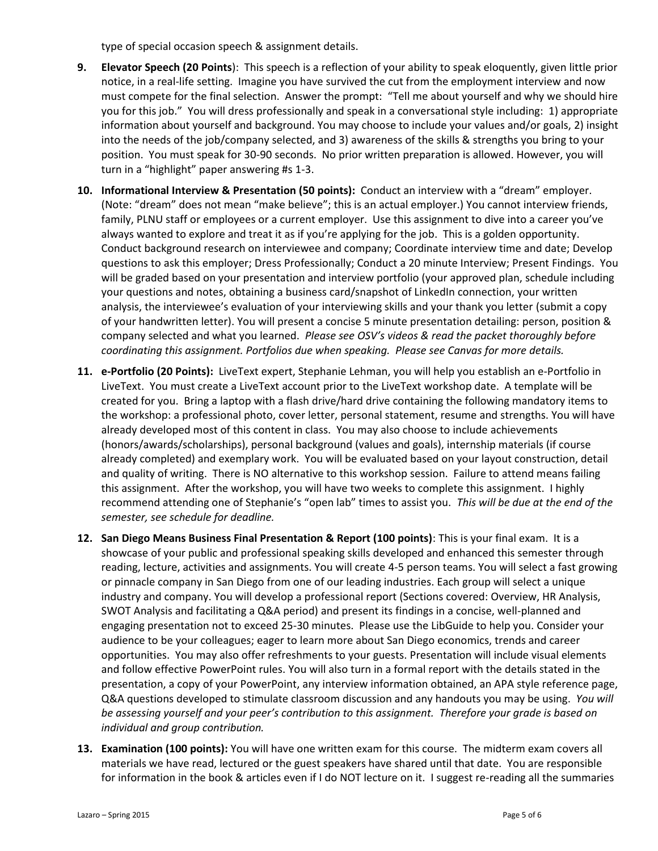type of special occasion speech & assignment details.

- **9. Elevator Speech (20 Points**): This speech is a reflection of your ability to speak eloquently, given little prior notice, in a real-life setting. Imagine you have survived the cut from the employment interview and now must compete for the final selection. Answer the prompt: "Tell me about yourself and why we should hire you for this job." You will dress professionally and speak in a conversational style including: 1) appropriate information about yourself and background. You may choose to include your values and/or goals, 2) insight into the needs of the job/company selected, and 3) awareness of the skills & strengths you bring to your position. You must speak for 30-90 seconds. No prior written preparation is allowed. However, you will turn in a "highlight" paper answering #s 1-3.
- **10. Informational Interview & Presentation (50 points):** Conduct an interview with a "dream" employer. (Note: "dream" does not mean "make believe"; this is an actual employer.) You cannot interview friends, family, PLNU staff or employees or a current employer. Use this assignment to dive into a career you've always wanted to explore and treat it as if you're applying for the job. This is a golden opportunity. Conduct background research on interviewee and company; Coordinate interview time and date; Develop questions to ask this employer; Dress Professionally; Conduct a 20 minute Interview; Present Findings. You will be graded based on your presentation and interview portfolio (your approved plan, schedule including your questions and notes, obtaining a business card/snapshot of LinkedIn connection, your written analysis, the interviewee's evaluation of your interviewing skills and your thank you letter (submit a copy of your handwritten letter). You will present a concise 5 minute presentation detailing: person, position & company selected and what you learned. *Please see OSV's videos & read the packet thoroughly before coordinating this assignment. Portfolios due when speaking. Please see Canvas for more details.*
- **11. e-Portfolio (20 Points):** LiveText expert, Stephanie Lehman, you will help you establish an e-Portfolio in LiveText. You must create a LiveText account prior to the LiveText workshop date. A template will be created for you. Bring a laptop with a flash drive/hard drive containing the following mandatory items to the workshop: a professional photo, cover letter, personal statement, resume and strengths. You will have already developed most of this content in class. You may also choose to include achievements (honors/awards/scholarships), personal background (values and goals), internship materials (if course already completed) and exemplary work. You will be evaluated based on your layout construction, detail and quality of writing. There is NO alternative to this workshop session. Failure to attend means failing this assignment. After the workshop, you will have two weeks to complete this assignment. I highly recommend attending one of Stephanie's "open lab" times to assist you. *This will be due at the end of the semester, see schedule for deadline.*
- **12. San Diego Means Business Final Presentation & Report (100 points)**: This is your final exam. It is a showcase of your public and professional speaking skills developed and enhanced this semester through reading, lecture, activities and assignments. You will create 4-5 person teams. You will select a fast growing or pinnacle company in San Diego from one of our leading industries. Each group will select a unique industry and company. You will develop a professional report (Sections covered: Overview, HR Analysis, SWOT Analysis and facilitating a Q&A period) and present its findings in a concise, well-planned and engaging presentation not to exceed 25-30 minutes. Please use the LibGuide to help you. Consider your audience to be your colleagues; eager to learn more about San Diego economics, trends and career opportunities. You may also offer refreshments to your guests. Presentation will include visual elements and follow effective PowerPoint rules. You will also turn in a formal report with the details stated in the presentation, a copy of your PowerPoint, any interview information obtained, an APA style reference page, Q&A questions developed to stimulate classroom discussion and any handouts you may be using. *You will be assessing yourself and your peer's contribution to this assignment. Therefore your grade is based on individual and group contribution.*
- **13. Examination (100 points):** You will have one written exam for this course. The midterm exam covers all materials we have read, lectured or the guest speakers have shared until that date. You are responsible for information in the book & articles even if I do NOT lecture on it. I suggest re-reading all the summaries